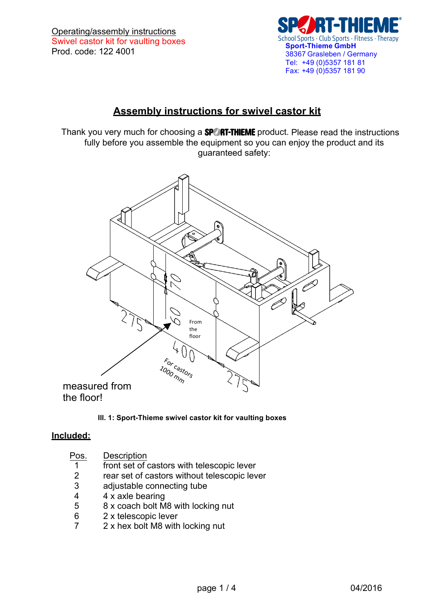

# **Assembly instructions for swivel castor kit**

Thank you very much for choosing a **SPORT-THIEME** product. Please read the instructions fully before you assemble the equipment so you can enjoy the product and its guaranteed safety:



#### **Ill. 1: Sport-Thieme swivel castor kit for vaulting boxes**

### **Included:**

| Pos. | Description                                  |
|------|----------------------------------------------|
| 1    | front set of castors with telescopic lever   |
| 2    | rear set of castors without telescopic lever |
| 3    | adjustable connecting tube                   |
| 4    | 4 x axle bearing                             |
| 5    | 8 x coach bolt M8 with locking nut           |
|      | 0. <b>I</b> della controllation of           |

- $6$  2 x telescopic lever<br> $7$  2 x hex bolt M8 with
- 2 x hex bolt M8 with locking nut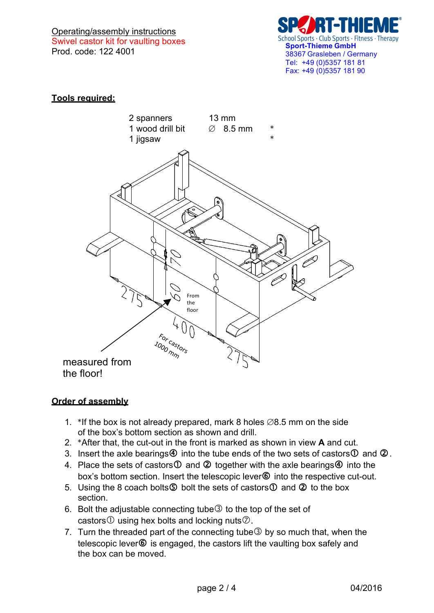Operating/assembly instructions Swivel castor kit for vaulting boxes Prod. code: 122 4001



# **Tools required:**



### **Order of assembly**

- 1. \*If the box is not already prepared, mark 8 holes ∅8.5 mm on the side of the box's bottom section as shown and drill.
- 2. \*After that, the cut-out in the front is marked as shown in view **A** and cut.
- 3. Insert the axle bearings  $\Phi$  into the tube ends of the two sets of castors  $\Phi$  and  $\Phi$ .
- 4. Place the sets of castors  $\overline{0}$  and  $\overline{2}$  together with the axle bearings  $\overline{4}$  into the box's bottom section. Insert the telescopic lever<sup>®</sup> into the respective cut-out.
- 5. Using the 8 coach bolts  $\circledS$  bolt the sets of castors  $\circledD$  and  $\circledQ$  to the box section.
- 6. Bolt the adjustable connecting tube  $\circled{3}$  to the top of the set of castors  $\odot$  using hex bolts and locking nuts $\odot$ .
- 7. Turn the threaded part of the connecting tube  $\circled{3}$  by so much that, when the telescopic lever<sup>®</sup> is engaged, the castors lift the vaulting box safely and the box can be moved.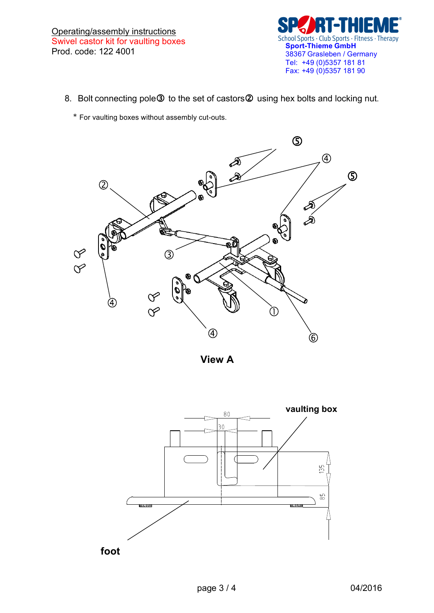

- 8. Bolt connecting pole 3 to the set of castors 2 using hex bolts and locking nut.
	- \* For vaulting boxes without assembly cut-outs.



**View A**